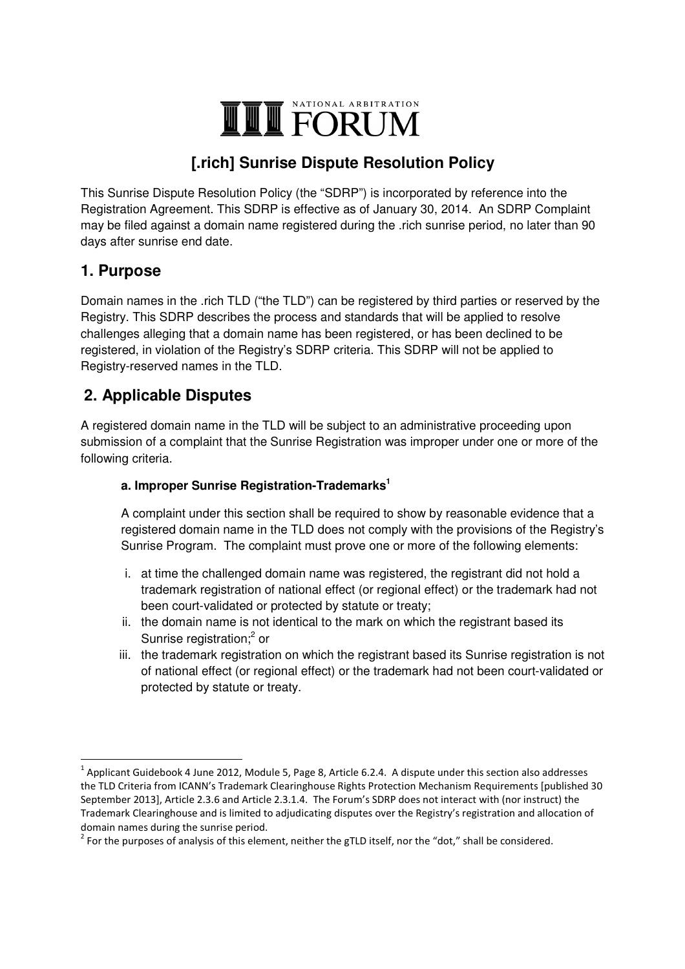# VATIONAL ARBITRATION **THE FORUM**

# **[.rich] Sunrise Dispute Resolution Policy**

This Sunrise Dispute Resolution Policy (the "SDRP") is incorporated by reference into the Registration Agreement. This SDRP is effective as of January 30, 2014. An SDRP Complaint may be filed against a domain name registered during the .rich sunrise period, no later than 90 days after sunrise end date.

### **1. Purpose**

<u>.</u>

Domain names in the .rich TLD ("the TLD") can be registered by third parties or reserved by the Registry. This SDRP describes the process and standards that will be applied to resolve challenges alleging that a domain name has been registered, or has been declined to be registered, in violation of the Registry's SDRP criteria. This SDRP will not be applied to Registry-reserved names in the TLD.

## **2. Applicable Disputes**

A registered domain name in the TLD will be subject to an administrative proceeding upon submission of a complaint that the Sunrise Registration was improper under one or more of the following criteria.

### **a. Improper Sunrise Registration-Trademarks<sup>1</sup>**

A complaint under this section shall be required to show by reasonable evidence that a registered domain name in the TLD does not comply with the provisions of the Registry's Sunrise Program. The complaint must prove one or more of the following elements:

- i. at time the challenged domain name was registered, the registrant did not hold a trademark registration of national effect (or regional effect) or the trademark had not been court-validated or protected by statute or treaty;
- ii. the domain name is not identical to the mark on which the registrant based its Sunrise registration;<sup>2</sup> or
- iii. the trademark registration on which the registrant based its Sunrise registration is not of national effect (or regional effect) or the trademark had not been court-validated or protected by statute or treaty.

 $^1$  Applicant Guidebook 4 June 2012, Module 5, Page 8, Article 6.2.4. A dispute under this section also addresses the TLD Criteria from ICANN's Trademark Clearinghouse Rights Protection Mechanism Requirements [published 30 September 2013], Article 2.3.6 and Article 2.3.1.4. The Forum's SDRP does not interact with (nor instruct) the Trademark Clearinghouse and is limited to adjudicating disputes over the Registry's registration and allocation of domain names during the sunrise period.

 $2^{2}$  For the purposes of analysis of this element, neither the gTLD itself, nor the "dot," shall be considered.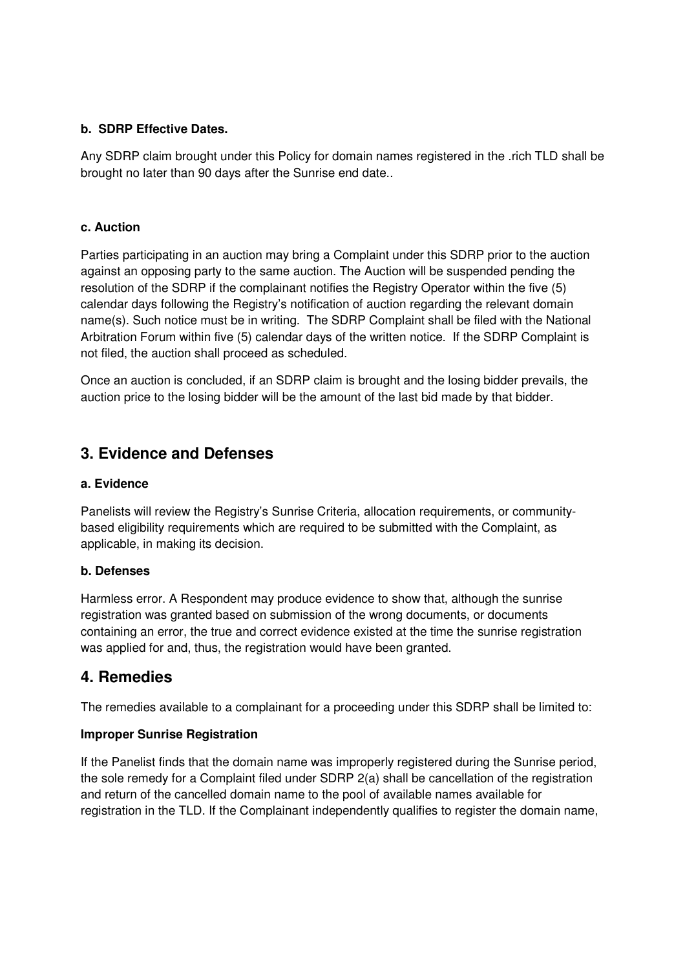#### **b. SDRP Effective Dates.**

Any SDRP claim brought under this Policy for domain names registered in the .rich TLD shall be brought no later than 90 days after the Sunrise end date..

#### **c. Auction**

Parties participating in an auction may bring a Complaint under this SDRP prior to the auction against an opposing party to the same auction. The Auction will be suspended pending the resolution of the SDRP if the complainant notifies the Registry Operator within the five (5) calendar days following the Registry's notification of auction regarding the relevant domain name(s). Such notice must be in writing. The SDRP Complaint shall be filed with the National Arbitration Forum within five (5) calendar days of the written notice. If the SDRP Complaint is not filed, the auction shall proceed as scheduled.

Once an auction is concluded, if an SDRP claim is brought and the losing bidder prevails, the auction price to the losing bidder will be the amount of the last bid made by that bidder.

### **3. Evidence and Defenses**

#### **a. Evidence**

Panelists will review the Registry's Sunrise Criteria, allocation requirements, or communitybased eligibility requirements which are required to be submitted with the Complaint, as applicable, in making its decision.

#### **b. Defenses**

Harmless error. A Respondent may produce evidence to show that, although the sunrise registration was granted based on submission of the wrong documents, or documents containing an error, the true and correct evidence existed at the time the sunrise registration was applied for and, thus, the registration would have been granted.

### **4. Remedies**

The remedies available to a complainant for a proceeding under this SDRP shall be limited to:

#### **Improper Sunrise Registration**

If the Panelist finds that the domain name was improperly registered during the Sunrise period, the sole remedy for a Complaint filed under SDRP 2(a) shall be cancellation of the registration and return of the cancelled domain name to the pool of available names available for registration in the TLD. If the Complainant independently qualifies to register the domain name,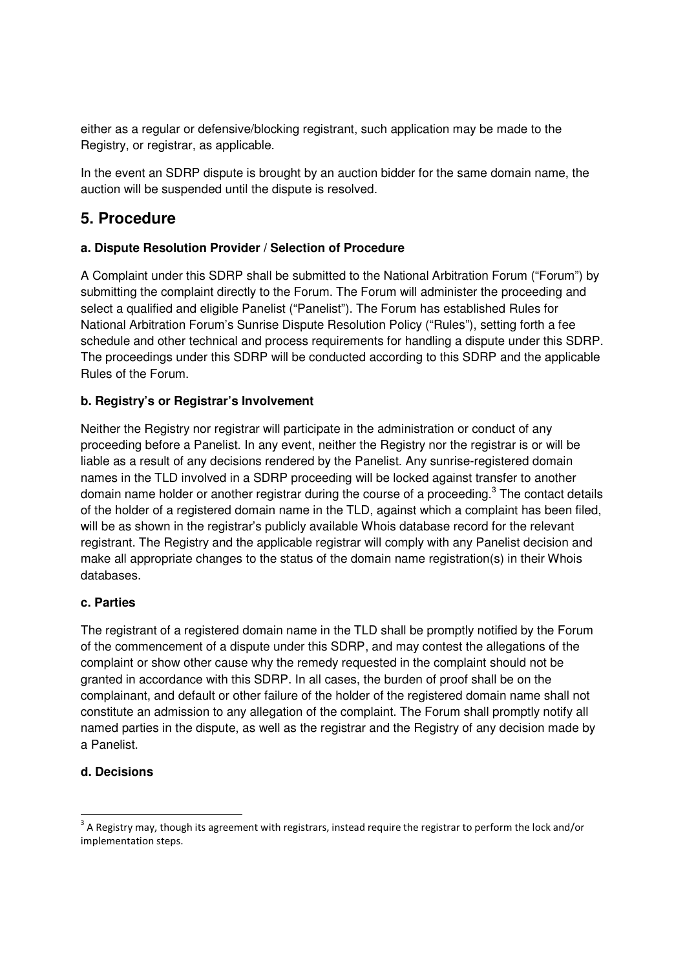either as a regular or defensive/blocking registrant, such application may be made to the Registry, or registrar, as applicable.

In the event an SDRP dispute is brought by an auction bidder for the same domain name, the auction will be suspended until the dispute is resolved.

### **5. Procedure**

### **a. Dispute Resolution Provider / Selection of Procedure**

A Complaint under this SDRP shall be submitted to the National Arbitration Forum ("Forum") by submitting the complaint directly to the Forum. The Forum will administer the proceeding and select a qualified and eligible Panelist ("Panelist"). The Forum has established Rules for National Arbitration Forum's Sunrise Dispute Resolution Policy ("Rules"), setting forth a fee schedule and other technical and process requirements for handling a dispute under this SDRP. The proceedings under this SDRP will be conducted according to this SDRP and the applicable Rules of the Forum.

### **b. Registry's or Registrar's Involvement**

Neither the Registry nor registrar will participate in the administration or conduct of any proceeding before a Panelist. In any event, neither the Registry nor the registrar is or will be liable as a result of any decisions rendered by the Panelist. Any sunrise-registered domain names in the TLD involved in a SDRP proceeding will be locked against transfer to another domain name holder or another registrar during the course of a proceeding.<sup>3</sup> The contact details of the holder of a registered domain name in the TLD, against which a complaint has been filed, will be as shown in the registrar's publicly available Whois database record for the relevant registrant. The Registry and the applicable registrar will comply with any Panelist decision and make all appropriate changes to the status of the domain name registration(s) in their Whois databases.

### **c. Parties**

The registrant of a registered domain name in the TLD shall be promptly notified by the Forum of the commencement of a dispute under this SDRP, and may contest the allegations of the complaint or show other cause why the remedy requested in the complaint should not be granted in accordance with this SDRP. In all cases, the burden of proof shall be on the complainant, and default or other failure of the holder of the registered domain name shall not constitute an admission to any allegation of the complaint. The Forum shall promptly notify all named parties in the dispute, as well as the registrar and the Registry of any decision made by a Panelist.

### **d. Decisions**

<u>.</u>

 $3$  A Registry may, though its agreement with registrars, instead require the registrar to perform the lock and/or implementation steps.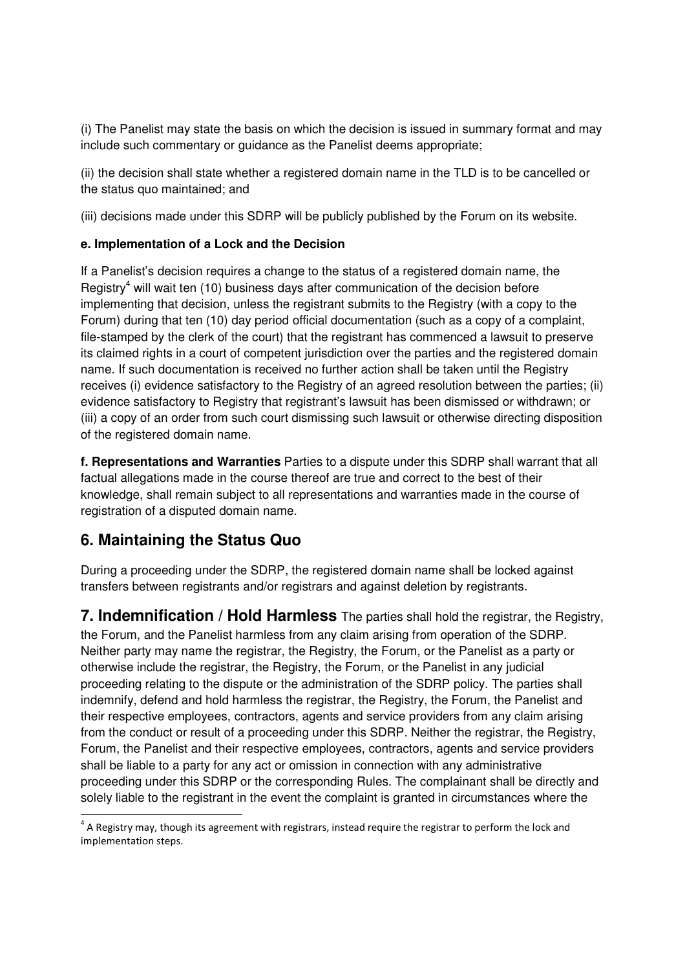(i) The Panelist may state the basis on which the decision is issued in summary format and may include such commentary or guidance as the Panelist deems appropriate;

(ii) the decision shall state whether a registered domain name in the TLD is to be cancelled or the status quo maintained; and

(iii) decisions made under this SDRP will be publicly published by the Forum on its website.

### **e. Implementation of a Lock and the Decision**

If a Panelist's decision requires a change to the status of a registered domain name, the Registry<sup>4</sup> will wait ten (10) business days after communication of the decision before implementing that decision, unless the registrant submits to the Registry (with a copy to the Forum) during that ten (10) day period official documentation (such as a copy of a complaint, file-stamped by the clerk of the court) that the registrant has commenced a lawsuit to preserve its claimed rights in a court of competent jurisdiction over the parties and the registered domain name. If such documentation is received no further action shall be taken until the Registry receives (i) evidence satisfactory to the Registry of an agreed resolution between the parties; (ii) evidence satisfactory to Registry that registrant's lawsuit has been dismissed or withdrawn; or (iii) a copy of an order from such court dismissing such lawsuit or otherwise directing disposition of the registered domain name.

**f. Representations and Warranties** Parties to a dispute under this SDRP shall warrant that all factual allegations made in the course thereof are true and correct to the best of their knowledge, shall remain subject to all representations and warranties made in the course of registration of a disputed domain name.

### **6. Maintaining the Status Quo**

<u>.</u>

During a proceeding under the SDRP, the registered domain name shall be locked against transfers between registrants and/or registrars and against deletion by registrants.

**7. Indemnification / Hold Harmless** The parties shall hold the registrar, the Registry, the Forum, and the Panelist harmless from any claim arising from operation of the SDRP. Neither party may name the registrar, the Registry, the Forum, or the Panelist as a party or otherwise include the registrar, the Registry, the Forum, or the Panelist in any judicial proceeding relating to the dispute or the administration of the SDRP policy. The parties shall indemnify, defend and hold harmless the registrar, the Registry, the Forum, the Panelist and their respective employees, contractors, agents and service providers from any claim arising from the conduct or result of a proceeding under this SDRP. Neither the registrar, the Registry, Forum, the Panelist and their respective employees, contractors, agents and service providers shall be liable to a party for any act or omission in connection with any administrative proceeding under this SDRP or the corresponding Rules. The complainant shall be directly and solely liable to the registrant in the event the complaint is granted in circumstances where the

 $^4$  A Registry may, though its agreement with registrars, instead require the registrar to perform the lock and implementation steps.